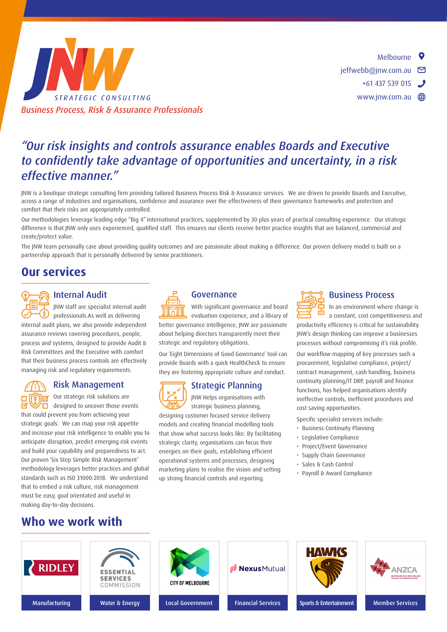

# *"Our risk insights and controls assurance enables Boards and Executive to confidently take advantage of opportunities and uncertainty, in a risk effective manner."*

JNW is a boutique strategic consulting firm providing tailored Business Process Risk & Assurance services. We are driven to provide Boards and Executive, across a range of industries and organisations, confidence and assurance over the effectiveness of their governance frameworks and protection and comfort that their risks are appropriately controlled.

Our methodologies leverage leading edge "Big 4" international practices, supplemented by 30 plus years of practical consulting experience. Our strategic difference is that JNW only uses experienced, qualified staff. This ensures our clients receive better practice insights that are balanced, commercial and create/protect value.

The JNW team personally care about providing quality outcomes and are passionate about making a difference. Our proven delivery model is built on a partnership approach that is personally delivered by senior practitioners.

### **Our services**

**11 Comparison Space 11** Internal **Audit**<br>
11 Internal audit<br>
11 **Comparison Space 11** and and the professionals.<br>
11 **Comparison** internal audit plans, we also provide independent JNW staff are specialist internal audit professionals.As well as delivering assurance reviews covering procedures, people, process and systems, designed to provide Audit & Risk Committees and the Executive with comfort that their business process controls are effectively managing risk and regulatory requirements.

**Fighter School Separate School School Separate School School Separate School School Separate School Separate School Separate School Separate School Separate School Separate School Separate School Separate School Separate** Our strategic risk solutions are  $\Box$  designed to uncover those events strategic goals. We can map your risk appetite and increase your risk intelligence to enable you to anticipate disruption, predict emerging risk events and build your capability and preparedness to act. Our proven 'Six Step Simple Risk Management' methodology leverages better practices and global standards such as ISO 31000:2018. We understand that to embed a risk culture, risk management must be easy, goal orientated and useful in making day-to-day decisions.



**11 Governance**<br>
11 With significant governance and board<br>
11 evaluation experience, and a library of<br>
better governance intelligence, JNW are passionate With significant governance and board evaluation experience, and a library of about helping directors transparently meet their strategic and regulatory obligations.

Our 'Eight Dimensions of Good Governance' tool can provide Boards with a quick HealthCheck to ensure they are fostering appropriate culture and conduct.

Strategic Planning<br>
IN Helps organisations with<br>
designing customer focused service delivery JNW Helps organisations with strategic business planning, models and creating financial modelling tools that show what success looks like. By facilitating strategic clarity, organisations can focus their energies on their goals, establishing efficient operational systems and processes, designing marketing plans to realise the vision and setting up strong financial controls and reporting.



**Process**<br> **productivity** In an environment where change is<br>
a constant, cost competitiveness and<br>
productivity efficiency is critical for sustainability. In an environment where change is a constant, cost competitiveness and JNW's design thinking can improve a businesses

processes without compromising it's risk profile.

Our workflow mapping of key processes such a procurement, legislative compliance, project/ contract management, cash handling, business continuity planning/IT DRP, payroll and finance functions, has helped organisations identify ineffective controls, inefficient procedures and cost saving opportunities.

- Specific specialist services include:
- Business Continuity Planning
- Legislative Compliance
- Project/Event Governance
- Supply Chain Governance
- Sales & Cash Control
- Payroll & Award Compliance

### **Who we work with**